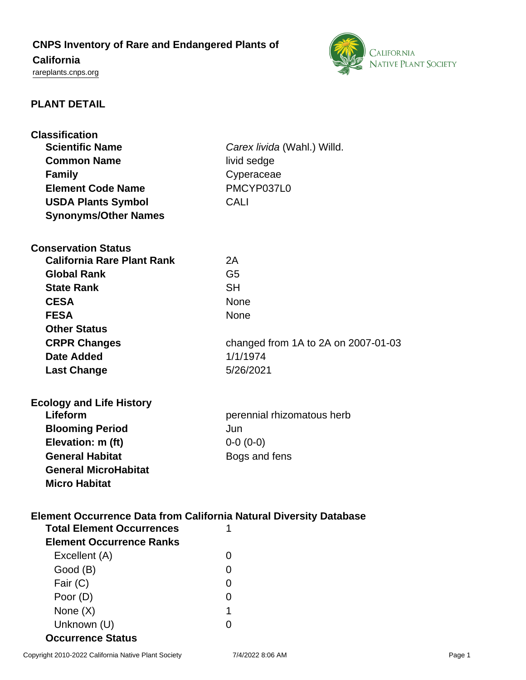# **CNPS Inventory of Rare and Endangered Plants of**

## **California**

<rareplants.cnps.org>



## **PLANT DETAIL**

| <b>Classification</b>                                                                                         |                                     |
|---------------------------------------------------------------------------------------------------------------|-------------------------------------|
| <b>Scientific Name</b>                                                                                        | Carex livida (Wahl.) Willd.         |
| <b>Common Name</b>                                                                                            | livid sedge                         |
| <b>Family</b>                                                                                                 | Cyperaceae                          |
| <b>Element Code Name</b>                                                                                      | PMCYP037L0                          |
| <b>USDA Plants Symbol</b>                                                                                     | <b>CALI</b>                         |
| <b>Synonyms/Other Names</b>                                                                                   |                                     |
|                                                                                                               |                                     |
| <b>Conservation Status</b>                                                                                    |                                     |
| <b>California Rare Plant Rank</b>                                                                             | 2A                                  |
| <b>Global Rank</b>                                                                                            | G <sub>5</sub>                      |
| <b>State Rank</b>                                                                                             | <b>SH</b>                           |
| <b>CESA</b>                                                                                                   | None                                |
| <b>FESA</b>                                                                                                   | <b>None</b>                         |
| <b>Other Status</b>                                                                                           |                                     |
| <b>CRPR Changes</b>                                                                                           | changed from 1A to 2A on 2007-01-03 |
| Date Added                                                                                                    | 1/1/1974                            |
| <b>Last Change</b>                                                                                            | 5/26/2021                           |
|                                                                                                               |                                     |
| <b>Ecology and Life History</b>                                                                               |                                     |
| Lifeform                                                                                                      | perennial rhizomatous herb          |
| <b>Blooming Period</b>                                                                                        | Jun                                 |
| Elevation: m (ft)                                                                                             | $0-0(0-0)$                          |
| <b>General Habitat</b>                                                                                        | Bogs and fens                       |
| <b>General MicroHabitat</b>                                                                                   |                                     |
| <b>Micro Habitat</b>                                                                                          |                                     |
|                                                                                                               |                                     |
|                                                                                                               |                                     |
| <b>Element Occurrence Data from California Natural Diversity Database</b><br><b>Total Element Occurrences</b> | 1                                   |
|                                                                                                               |                                     |
| <b>Element Occurrence Ranks</b>                                                                               |                                     |
| Excellent (A)                                                                                                 | 0                                   |
| Good (B)                                                                                                      | 0                                   |
| Fair (C)                                                                                                      | 0                                   |
| Poor (D)                                                                                                      | 0                                   |
| None $(X)$                                                                                                    | 1                                   |
| Unknown (U)                                                                                                   | 0                                   |